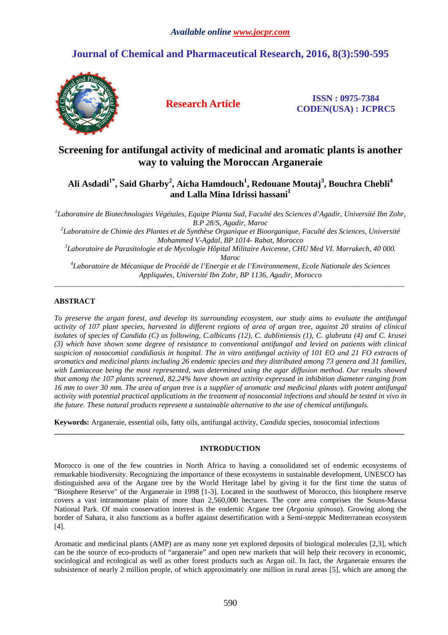# **Journal of Chemical and Pharmaceutical Research, 2016, 8(3):590-595**



**Research Article ISSN : 0975-7384 CODEN(USA) : JCPRC5**

# **Screening for antifungal activity of medicinal and aromatic plants is another way to valuing the Moroccan Arganeraie**

# **Ali Asdadi1\*, Said Gharby<sup>2</sup> , Aicha Hamdouch<sup>1</sup> , Redouane Moutaj<sup>3</sup> , Bouchra Chebli<sup>4</sup> and Lalla Mina Idrissi hassani<sup>1</sup>**

<sup>1</sup>Laboratoire de Biotechnologies Végétales, Equipe Planta Sud, Faculté des Sciences d'Agadir, Université Ibn Zohr, *B.P 28/S, Agadir, Maroc* 

*2 Laboratoire de Chimie des Plantes et de Synthèse Organique et Bioorganique, Faculté des Sciences, Université Mohammed V-Agdal, BP 1014- Rabat, Morocco* 

*3 Laboratoire de Parasitologie et de Mycologie Hôpital Militaire Avicenne, CHU Med VI. Marrakech, 40 000. Maroc* 

*4 Laboratoire de Mécanique de Procédé de l'Energie et de l'Environnement, Ecole Nationale des Sciences Appliquées, Université Ibn Zohr, BP 1136, Agadir, Morocco*   $\overline{a}$  , and the contribution of the contribution of the contribution of the contribution of the contribution of the contribution of the contribution of the contribution of the contribution of the contribution of the co

## **ABSTRACT**

*To preserve the argan forest, and develop its surrounding ecosystem, our study aims to evaluate the antifungal activity of 107 plant species, harvested in different regions of area of argan tree, against 20 strains of clinical isolates of species of Candida (C) as following, C.albicans (12), C. dubliniensis (1), C. glabrata (4) and C. krusei (3) which have shown some degree of resistance to conventional antifungal and levied on patients with clinical suspicion of nosocomial candidiasis in hospital. The in vitro antifungal activity of 101 EO and 21 FO extracts of aromatics and medicinal plants including 26 endemic species and they distributed among 73 genera and 31 families,*  with Lamiaceae being the most represented, was determined using the agar diffusion method. Our results showed *that among the 107 plants screened, 82.24% have shown an activity expressed in inhibition diameter ranging from 16 mm to over 30 mm. The area of argan tree is a supplier of aromatic and medicinal plants with potent antifungal activity with potential practical applications in the treatment of nosocomial infections and should be tested in vivo in the future. These natural products represent a sustainable alternative to the use of chemical antifungals.* 

**Keywords:** Arganeraie, essential oils, fatty oils, antifungal activity, *Candida* species, nosocomial infections

## **INTRODUCTION**

**\_\_\_\_\_\_\_\_\_\_\_\_\_\_\_\_\_\_\_\_\_\_\_\_\_\_\_\_\_\_\_\_\_\_\_\_\_\_\_\_\_\_\_\_\_\_\_\_\_\_\_\_\_\_\_\_\_\_\_\_\_\_\_\_\_\_\_\_\_\_\_\_\_\_\_\_\_\_\_\_\_\_\_\_\_\_\_\_\_\_\_\_\_** 

Morocco is one of the few countries in North Africa to having a consolidated set of endemic ecosystems of remarkable biodiversity. Recognizing the importance of these ecosystems in sustainable development, UNESCO has distinguished area of the Argane tree by the World Heritage label by giving it for the first time the status of "Biosphere Reserve" of the Arganeraie in 1998 [1-3]. Located in the southwest of Morocco, this biosphere reserve covers a vast intramontane plain of more than 2,560,000 hectares. The core area comprises the Souss-Massa National Park. Of main conservation interest is the endemic Argane tree (*Argania spinosa*). Growing along the border of Sahara, it also functions as a buffer against desertification with a Semi-steppic Mediterranean ecosystem [4].

Aromatic and medicinal plants (AMP) are as many none yet explored deposits of biological molecules [2,3], which can be the source of eco-products of "arganeraie" and open new markets that will help their recovery in economic, sociological and ecological as well as other forest products such as Argan oil. In fact, the Arganeraie ensures the subsistence of nearly 2 million people, of which approximately one million in rural areas [5], which are among the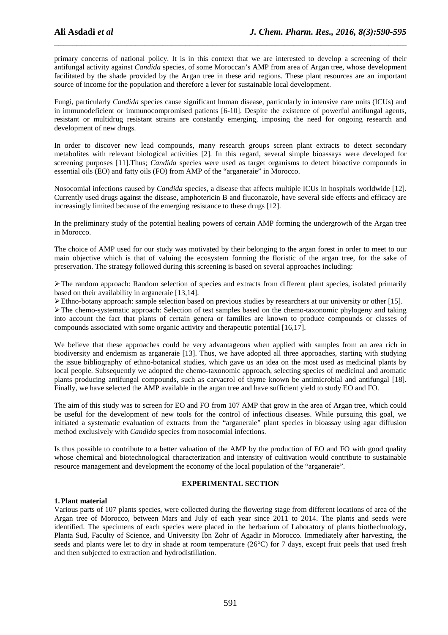primary concerns of national policy. It is in this context that we are interested to develop a screening of their antifungal activity against *Candida* species, of some Moroccan's AMP from area of Argan tree, whose development facilitated by the shade provided by the Argan tree in these arid regions. These plant resources are an important source of income for the population and therefore a lever for sustainable local development.

\_\_\_\_\_\_\_\_\_\_\_\_\_\_\_\_\_\_\_\_\_\_\_\_\_\_\_\_\_\_\_\_\_\_\_\_\_\_\_\_\_\_\_\_\_\_\_\_\_\_\_\_\_\_\_\_\_\_\_\_\_\_\_\_\_\_\_\_\_\_\_\_\_\_\_\_\_\_

Fungi, particularly *Candida* species cause significant human disease, particularly in intensive care units (ICUs) and in immunodeficient or immunocompromised patients [6-10]. Despite the existence of powerful antifungal agents, resistant or multidrug resistant strains are constantly emerging, imposing the need for ongoing research and development of new drugs.

In order to discover new lead compounds, many research groups screen plant extracts to detect secondary metabolites with relevant biological activities [2]. In this regard, several simple bioassays were developed for screening purposes [11].Thus; *Candida* species were used as target organisms to detect bioactive compounds in essential oils (EO) and fatty oils (FO) from AMP of the "arganeraie" in Morocco.

Nosocomial infections caused by *Candida* species, a disease that affects multiple ICUs in hospitals worldwide [12]. Currently used drugs against the disease, amphotericin B and fluconazole, have several side effects and efficacy are increasingly limited because of the emerging resistance to these drugs [12].

In the preliminary study of the potential healing powers of certain AMP forming the undergrowth of the Argan tree in Morocco.

The choice of AMP used for our study was motivated by their belonging to the argan forest in order to meet to our main objective which is that of valuing the ecosystem forming the floristic of the argan tree, for the sake of preservation. The strategy followed during this screening is based on several approaches including:

The random approach: Random selection of species and extracts from different plant species, isolated primarily based on their availability in arganeraie [13,14].

Ethno-botany approach: sample selection based on previous studies by researchers at our university or other [15].

The chemo-systematic approach: Selection of test samples based on the chemo-taxonomic phylogeny and taking into account the fact that plants of certain genera or families are known to produce compounds or classes of compounds associated with some organic activity and therapeutic potential [16,17].

We believe that these approaches could be very advantageous when applied with samples from an area rich in biodiversity and endemism as arganeraie [13]. Thus, we have adopted all three approaches, starting with studying the issue bibliography of ethno-botanical studies, which gave us an idea on the most used as medicinal plants by local people. Subsequently we adopted the chemo-taxonomic approach, selecting species of medicinal and aromatic plants producing antifungal compounds, such as carvacrol of thyme known be antimicrobial and antifungal [18]. Finally, we have selected the AMP available in the argan tree and have sufficient yield to study EO and FO.

The aim of this study was to screen for EO and FO from 107 AMP that grow in the area of Argan tree, which could be useful for the development of new tools for the control of infectious diseases. While pursuing this goal, we initiated a systematic evaluation of extracts from the "arganeraie" plant species in bioassay using agar diffusion method exclusively with *Candida* species from nosocomial infections.

Is thus possible to contribute to a better valuation of the AMP by the production of EO and FO with good quality whose chemical and biotechnological characterization and intensity of cultivation would contribute to sustainable resource management and development the economy of the local population of the "arganeraie".

#### **EXPERIMENTAL SECTION**

#### **1.Plant material**

Various parts of 107 plants species, were collected during the flowering stage from different locations of area of the Argan tree of Morocco, between Mars and July of each year since 2011 to 2014. The plants and seeds were identified. The specimens of each species were placed in the herbarium of Laboratory of plants biothechnology, Planta Sud, Faculty of Science, and University Ibn Zohr of Agadir in Morocco. Immediately after harvesting, the seeds and plants were let to dry in shade at room temperature (26°C) for 7 days, except fruit peels that used fresh and then subjected to extraction and hydrodistillation.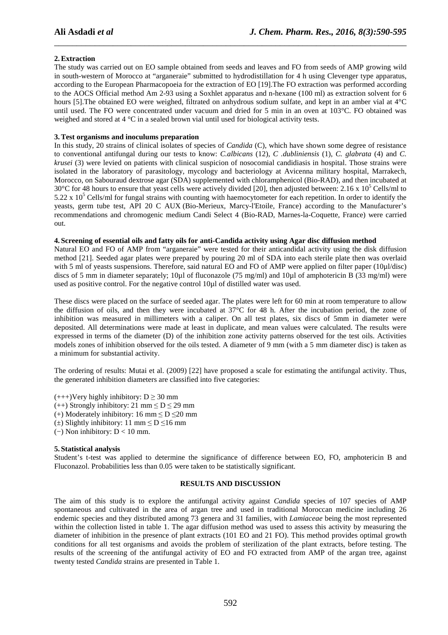### **2.Extraction**

The study was carried out on EO sample obtained from seeds and leaves and FO from seeds of AMP growing wild in south-western of Morocco at "arganeraie" submitted to hydrodistillation for 4 h using Clevenger type apparatus, according to the European Pharmacopoeia for the extraction of EO [19].The FO extraction was performed according to the AOCS Official method Am 2-93 using a Soxhlet apparatus and n-hexane (100 ml) as extraction solvent for 6 hours [5]. The obtained EO were weighed, filtrated on anhydrous sodium sulfate, and kept in an amber vial at  $4^{\circ}$ C until used. The FO were concentrated under vacuum and dried for 5 min in an oven at 103°C. FO obtained was weighed and stored at 4 °C in a sealed brown vial until used for biological activity tests.

\_\_\_\_\_\_\_\_\_\_\_\_\_\_\_\_\_\_\_\_\_\_\_\_\_\_\_\_\_\_\_\_\_\_\_\_\_\_\_\_\_\_\_\_\_\_\_\_\_\_\_\_\_\_\_\_\_\_\_\_\_\_\_\_\_\_\_\_\_\_\_\_\_\_\_\_\_\_

#### **3.Test organisms and inoculums preparation**

In this study, 20 strains of clinical isolates of species of *Candida* (C), which have shown some degree of resistance to conventional antifungal during our tests to know: *C.albicans* (12), *C .dubliniensis* (1), *C. glabrata* (4) and *C. krusei* (3) were levied on patients with clinical suspicion of nosocomial candidiasis in hospital. Those strains were isolated in the laboratory of parasitology, mycology and bacteriology at Avicenna military hospital, Marrakech, Morocco, on Sabouraud dextrose agar (SDA) supplemented with chloramphenicol (Bio-RAD), and then incubated at  $30^{\circ}$ C for 48 hours to ensure that yeast cells were actively divided [20], then adjusted between: 2.16 x 10<sup>5</sup> Cells/ml to 5.22 x  $10^5$  Cells/ml for fungal strains with counting with haemocytometer for each repetition. In order to identify the yeasts, germ tube test, API 20 C AUX (Bio-Merieux, Marcy-l'Etoile, France) according to the Manufacturer's recommendations and chromogenic medium Candi Select 4 (Bio-RAD, Marnes-la-Coquette, France) were carried out.

#### **4. Screening of essential oils and fatty oils for anti-Candida activity using Agar disc diffusion method**

Natural EO and FO of AMP from "arganeraie" were tested for their anticandidal activity using the disk diffusion method [21]. Seeded agar plates were prepared by pouring 20 ml of SDA into each sterile plate then was overlaid with 5 ml of yeasts suspensions. Therefore, said natural EO and FO of AMP were applied on filter paper (10µl/disc) discs of 5 mm in diameter separately; 10µl of fluconazole (75 mg/ml) and 10µl of amphotericin B (33 mg/ml) were used as positive control. For the negative control 10µl of distilled water was used.

These discs were placed on the surface of seeded agar. The plates were left for 60 min at room temperature to allow the diffusion of oils, and then they were incubated at 37°C for 48 h. After the incubation period, the zone of inhibition was measured in millimeters with a caliper. On all test plates, six discs of 5mm in diameter were deposited. All determinations were made at least in duplicate, and mean values were calculated. The results were expressed in terms of the diameter (D) of the inhibition zone activity patterns observed for the test oils. Activities models zones of inhibition observed for the oils tested. A diameter of 9 mm (with a 5 mm diameter disc) is taken as a minimum for substantial activity.

The ordering of results: Mutai et al. (2009) [22] have proposed a scale for estimating the antifungal activity. Thus, the generated inhibition diameters are classified into five categories:

 $(+++)$ Very highly inhibitory: D  $\geq$  30 mm (++) Strongly inhibitory: 21 mm  $\leq D \leq 29$  mm (+) Moderately inhibitory: 16 mm  $\leq$  D  $\leq$  20 mm  $(\pm)$  Slightly inhibitory: 11 mm  $\leq$  D  $\leq$ 16 mm

(−) Non inhibitory: D < 10 mm.

# **5. Statistical analysis**

Student's t-test was applied to determine the significance of difference between EO, FO, amphotericin B and Fluconazol. Probabilities less than 0.05 were taken to be statistically significant.

#### **RESULTS AND DISCUSSION**

The aim of this study is to explore the antifungal activity against *Candida* species of 107 species of AMP spontaneous and cultivated in the area of argan tree and used in traditional Moroccan medicine including 26 endemic species and they distributed among 73 genera and 31 families, with *Lamiaceae* being the most represented within the collection listed in table 1. The agar diffusion method was used to assess this activity by measuring the diameter of inhibition in the presence of plant extracts (101 EO and 21 FO). This method provides optimal growth conditions for all test organisms and avoids the problem of sterilization of the plant extracts, before testing. The results of the screening of the antifungal activity of EO and FO extracted from AMP of the argan tree, against twenty tested *Candida* strains are presented in Table 1.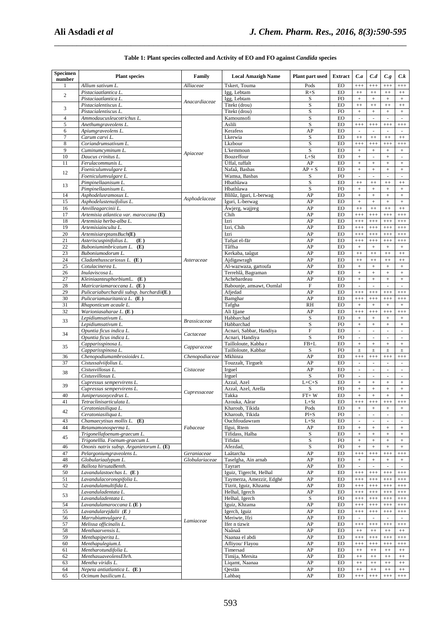| Specimen<br>number | <b>Plant species</b>                                                      | Family              | <b>Local Amazigh Name</b>               | Plant part used | <b>Extract</b>         | C.a                                  | C.d                             | C.g                           | C.k                                |
|--------------------|---------------------------------------------------------------------------|---------------------|-----------------------------------------|-----------------|------------------------|--------------------------------------|---------------------------------|-------------------------------|------------------------------------|
|                    | Allium sativum L.                                                         | Alliaceae           | Tskert, Touma                           | Pods            | EO                     | $^{+++}$                             | $^{+++}$                        | $^{+++}$                      | $^{+++}$                           |
| $\overline{2}$     | Pistaciaatlantica L.                                                      | Anacardiaceae       | Igg, Lebtam                             | $R + S$         | EO                     | $^{++}$                              | $^{++}$                         | $^{++}$                       | $^{++}$                            |
|                    | Pistaciaatlantica L.                                                      |                     | Igg, Lebtam                             | S               | <b>FO</b>              | $\pm$                                | $\! +$                          | $^+$                          | $+$                                |
| 3                  | Pistacialentiscus L.<br>Pistacialentiscus L.                              |                     | Titekt (drou)<br>Titekt (drou)          | S<br>S          | <b>EO</b><br><b>FO</b> | $^{++}$<br>$\ddot{}$                 | $^{++}$<br>$\! +$               | $^{++}$<br>$+$                | $^{++}$<br>$^{+}$                  |
| $\overline{4}$     | Ammodaucusleucotrichus L.                                                 |                     | Kamounsofi                              | S               | EO                     | ä,                                   | $\overline{\phantom{a}}$        | $\Box$                        | $\bar{z}$                          |
| 5                  | Anethumgraveolens L.                                                      | Apiaceae            | Aslili                                  | S               | EO                     | $^{+++}$                             | $^{+++}$                        | $^{+++}$                      | $^{+++}$                           |
| 6                  | Apiumgraveolens L.                                                        |                     | Kerafess                                | AP              | EO                     | $\omega$                             | $\omega$                        | $\omega$                      | $\sim$                             |
| 7                  | Carum carvi L.                                                            |                     | Lkerwia                                 | S               | EO                     | $^{++}$                              | $\qquad \qquad +$               | $^{++}$                       | $^{++}$                            |
| 8                  | Coriandrumsativum L.                                                      |                     | Lkzbour                                 | S               | EO                     | $^{+++}$                             | $^{+++}$                        | $^{+++}$                      | $^{+++}$                           |
| 9                  | Cuminumcyminum L.                                                         |                     | L'kemmoun                               | S               | EO                     | $\! +$                               | $\! +$                          | $\boldsymbol{+}$              | $^{+}$                             |
| 10                 | Daucus crinitus L.                                                        |                     | Bouzeffour                              | $L+St$          | EO                     | $\! +$                               | ä,                              | $\! + \!\!\!\!$               | $\overline{\phantom{a}}$           |
| 11                 | Ferulacommunis L.                                                         |                     | Ûffal, tuffalt                          | AP              | EO                     | $\pm$                                | $\, +$                          | $\ddot{}$                     | $+$                                |
| 12                 | Foeniculumvulgare L                                                       |                     | Nafaâ, Basbas                           | $AP + S$        | EO                     | $\! +$                               | $\! +$                          | $\! + \!\!\!\!$               | $^{+}$                             |
|                    | Foeniculumvulgare L.                                                      |                     | Wamsa, Basbas                           | S               | <b>FO</b>              | $\overline{\phantom{a}}$             | $\omega$                        | $\omega$                      | $\sim$                             |
| 13                 | Pimpinellaanisum L.                                                       |                     | Hbathlawa                               | S               | $_{\rm EO}$            | $^{++}$                              | $^{++}$                         | $^{++}$                       | $^{++}\,$                          |
| 14                 | Pimpinellaanisum L.<br>Asphodelusramosus L.                               |                     | Hbathlawa<br>Blilûz, Iguri, L-berwag    | S<br>AP         | <b>FO</b><br>EO        | $+$<br>$\! +$                        | $\, +$<br>$\! +$                | $+$<br>$\! + \!\!\!\!$        | $^{+}$                             |
| 15                 | Asphodelustenuifolius L.                                                  | Asphodelaceae       | Iguri, L-berwag                         | AP              | EO                     | $\! +$                               | $\, +$                          | $\boldsymbol{+}$              |                                    |
| 16                 | Anvilleagarcinii L.                                                       |                     | Awjerg, wajjreg                         | AP              | EO                     | $^{++}$                              | $^{++}$                         | $^{++}$                       | $^{++}$                            |
| 17                 | Artemisia atlantica var. maroccana (E)                                    |                     | Chih                                    | AP              | EO                     | $^{+++}$                             | $^{+++}$                        | $^{+++}$                      | $^{+++}$                           |
| 18                 | Artemisia herba-alba L.                                                   |                     | Izri                                    | AP              | EO                     | $^{+++}$                             | $^{+++}$                        | $^{+++}$                      | $^{+++}$                           |
| 19                 | Artemisiainculta L.                                                       |                     | Izri, Chih                              | AP              | EO                     | $^{+++}$                             | $^{+++}$                        | $^{+++}$                      | $^{+++}$                           |
| 20                 | ArtemisiareptansBuch(E)                                                   |                     | Izri                                    | AP              | EO                     | $^{+++}$                             | $^{+++}$                        | $^{+++}$                      | $^{+++}$                           |
| 21                 | Asteriscuspinifolius L.<br>(E)                                            |                     | Tafşat el-fār                           | AP              | EO                     | $^{+++}$                             | $^{+++}$                        | $^{+++}$                      | $^{+++}$                           |
| 22                 | Buboniumimbricatum L.<br>(E)                                              |                     | Tâffsa                                  | AP              | EO                     | $\pm$                                | $\! +$                          | $\boldsymbol{+}$              |                                    |
| 23                 | Buboniumodorum L.                                                         |                     | Kerkaba, taûgut                         | AP              | EO                     | $^{++}$                              | $^{++}$                         | $^{++}$                       | $^{++}$                            |
| 24                 | Cladanthusscariosus L. (E)                                                | Asteraceae          | Ajdigawragh                             | AP              | EO                     | $^{++}$                              | $^{++}$                         | $^{++}$                       | $^{++}$                            |
| 25                 | Cotulacinerea L.                                                          |                     | Al-wazwaza, gartoufa                    | AP              | EO                     | $+$                                  | $\, +$                          | $^{+}$                        | $+$                                |
| 26<br>27           | Inulaviscosa L.<br>(E)                                                    |                     | Terrehlâ, Bagraman                      | AP              | EO<br>EO               | $\! +$                               | $\! +$                          | $\boldsymbol{+}$              | $\! +$                             |
| 28                 | KleiniaanteuphorbiumL.<br>Matricariamaroccana L. (E)                      |                     | Achebardeau<br>Babounje, amsawt, Oumlal | AP<br>F         | EO                     | $\pm$<br>ä,                          | $+$<br>$\overline{\phantom{a}}$ | $+$<br>$\Box$                 | $^{+}$<br>$\overline{\phantom{a}}$ |
| 29                 | Pulicariaburchardii subsp. burchardii(E)                                  |                     | Afjedad                                 | AP              | EO                     | $^{+++}$                             | $^{+++}$                        | $^{+++}$                      | $^{+++}$                           |
| 30                 | Pulicariamauritanica L. (E)                                               |                     | Bamghar                                 | AP              | EO                     | $^{+++}$                             | $^{+++}$                        | $^{+++}$                      | $^{+++}$                           |
| 31                 | Rhaponticum acaule L.                                                     |                     | Tafgha                                  | <b>RH</b>       | <b>EO</b>              | $\! +$                               | $\! +$                          | $\! + \!\!\!\!$               | $\! +$                             |
| 32                 | Warioniasaharae L. (E)                                                    |                     | Ali Ijjane                              | AP              | <b>EO</b>              | $^{+++}$                             | $^{+++}$                        | $^{+++}$                      | $^{+++}$                           |
|                    | Lepidiumsativum L.                                                        |                     | Habbarchad                              | S               | EO                     | $\pm$                                | $\! +$                          | $\! + \!\!\!\!$               | $^{+}$                             |
| 33                 | Lepidiumsativum L.                                                        | <b>Brassicaceae</b> | Habbarchad                              | $\rm S$         | FO                     | $\pm$                                | $+$                             | $\boldsymbol{+}$              | $^{+}$                             |
|                    | Opuntia ficus indica L.                                                   | Cactaceae           | Acnari, Sabbar, Handiya                 | $\mathbf F$     | EO                     | $\overline{\phantom{a}}$             | $\overline{\phantom{a}}$        | ä,                            | $\blacksquare$                     |
| 34                 | Opuntia ficus indica L.                                                   |                     | Acnari, Handiya                         | S               | <b>FO</b>              | $\overline{\phantom{a}}$             | $\omega$                        | $\omega$                      | $\omega$                           |
| 35                 | Capparisspinosa L.                                                        | Capparaceae         | Tailloloute, Kabba r                    | $FB+L$          | EO                     | $\! +$                               | $\! +$                          | $\! + \!\!\!\!$               | $^{+}$                             |
|                    | Capparisspinosa L.                                                        |                     | Tailloloute, Kabbar                     | S               | <b>FO</b>              | $\pm$                                | $\pm$                           | $\pm$                         | $\pm$                              |
| 36<br>37           | Chenopodiumambrosioides L.<br>Cistussalviifolius L.                       | Chenopodiaceae      | Mkhinza<br>Touzzalt, Tirguelt           | AP<br>AP        | <b>EO</b><br>EO        | $^{+++}$<br>$\overline{\phantom{a}}$ | $^{+++}$<br>$\omega$            | $^{+++}$<br>$\omega$          | $^{+++}$<br>$\omega$               |
|                    | Cistusvillosus L.                                                         | Cistaceae           | Irguel                                  | AP              | EO                     | ä,                                   | $\omega$                        | $\sim$                        | $\overline{\phantom{a}}$           |
| 38                 | Cistusvillosus L.                                                         |                     | Irguel                                  | S               | FO                     | $\overline{\phantom{a}}$             | $\overline{\phantom{a}}$        | $\blacksquare$                | $\sim$                             |
|                    | Cupressus sempervirens L.                                                 |                     | Azzal, Azel                             | $L + C + S$     | EO                     | $\! +$                               | $^+$                            | $\! +$                        |                                    |
| 39                 | Cupressus sempervirens L.                                                 |                     | Azzal, Azel, Arella                     | S               | <b>FO</b>              | $\pm$                                | $\, +$                          | $\ddot{}$                     | $\! +$                             |
| 40                 | Juniperusoxycedrus L.                                                     | Cupressaceae        | Takka                                   | $FT+W$          | EO                     | $+$                                  | $+$                             | $+$                           | $+$                                |
| 41                 | Tetraclinisarticulata L.                                                  |                     | Azouka, Aârar                           | $L+St$          | EO                     | $^{+++}$                             | $^{+++}$                        | $^{+++}$                      | $^{+++}$                           |
| 42                 | Ceratoniasiliqua L.                                                       |                     | Kharoub, Tikida                         | Pods            | $E_{\rm O}$            | $^+$                                 | $^+$                            | $^+$                          |                                    |
|                    | Ceratoniasiliqua L.                                                       |                     | Kharoub, Tikida                         | $Pl + S$        | <b>FO</b>              | $\overline{\phantom{a}}$             |                                 |                               |                                    |
| 43                 | Chamaecytisus mollis L.<br>(E)                                            |                     | Ouchfoudawram                           | $L+St$          | EO                     |                                      |                                 |                               |                                    |
| 44                 | Retamamonosperma L.                                                       | Fabaceae            | Ilgui, Rtem                             | AP              | EO                     | $\! +$                               | $\! + \!$                       | $^+$                          | $\! +$                             |
| 45                 | Trigonellafoenum-graecum L.                                               |                     | Tifidass, Halba                         | S               | EO                     | $\! +$                               | $\! +$                          | $\! + \!\!\!\!$               | $\! +$                             |
| 46                 | Trigonellla. Foenum-graecum L<br>Ononis natrix subsp. Arganietorum L. (E) |                     | Tifidas<br>Afezdad,                     | S<br>S          | FO                     | $+$<br>$+$                           | $+$<br>$\! +$                   | $^{+}$<br>$+$                 | $^{+}$<br>$+$                      |
| 47                 | Pelargoniumgraveolens L.                                                  | Geraniaceae         | Laâtarcha                               | AP              | FO<br>EO               | $^{+++}$                             | $^{+++}$                        | $^{+++}$                      | $^{+++}$                           |
| 48                 | Globulariaalypum L.                                                       | Globulariaceae      | Taselgha, Ain arnab                     | AP              | EO                     | $\! +$                               | $\! +$                          | $\boldsymbol{+}$              | $+$                                |
| 49                 | Ballota hirsutaBenth.                                                     |                     | Tayrart                                 | AP              | EO                     | $\bar{\phantom{a}}$                  | $\mathcal{L}$                   | $\sim$                        | $\sim$                             |
| 50                 | Lavandulastoechas $L$ . $(E)$                                             |                     | Iguiz, Tigercht, Helhal                 | AP              | EO                     | $^{+++}$                             | $^{+++}$                        | $^{+++}$                      | $^{+++}$                           |
| 51                 | Lavandulacoronopifolia L.                                                 | Lamiaceae           | Taymerza, Amezzir, Edghé                | AP              | EO                     | $^{+++}$                             | $^{+++}$                        | $^{+++}$                      | $^{+++}$                           |
| 52                 | Lavandulamultifida L.                                                     |                     | Tizrit, Iguiz, Khzama                   | AP              | EO                     | $^{+++}$                             | $^{+++}$                        | $^{+++}$                      | $^{+++}$                           |
|                    | Lavanduladentata L.                                                       |                     | Helhal, Igerch                          | AP              | EO                     | $^{+++}$                             | $^{+++}$                        | $^{+++}$                      | $^{+++}$                           |
| 53                 | Lavanduladentata L.                                                       |                     | Helhal, Igerch                          | S               | <b>FO</b>              | $^{+++}$                             | $^{+++}$                        | $^{+++}$                      | $^{+++}$                           |
| 54                 | Lavandulamaroccana $L(E)$                                                 |                     | Iguiz, Khzama                           | AP              | EO                     | $^{+++}$                             | $^{+++}$                        | $^{+++}$                      | $^{+++}$                           |
| 55                 | Lavandularejdalii $(E)$                                                   |                     | Igerch, Iguiz                           | AP              | EO                     | $^{+++}$                             | $^{+++}$                        | $^{+++}$                      | $^{+++}$                           |
| 56                 | Marrubiumvulgare L.                                                       |                     | Meriwte, Ifzi                           | AP              | EO                     | $\overline{\phantom{a}}$             | $\omega$                        | $\overline{\phantom{a}}$      |                                    |
| 57<br>58           | Melissa officinalis L.<br>Menthaarvensis L.                               |                     | Ifer n tizwit                           | AP<br>AP        | EO                     | $^{+++}$                             | $^{+++}$                        | $^{+++}$                      | $^{+++}$                           |
| 59                 | Menthapiperita L.                                                         |                     | Naânaâ<br>Naanaa el abdi                | AP              | EO<br>EO               | $^{++}\,$<br>$^{+++}$                | $\qquad \qquad +$<br>$^{+++}$   | $\qquad \qquad +$<br>$^{+++}$ | $^{\rm ++}$<br>$^{+++}$            |
| 60                 | Menthapulegium.L                                                          |                     | Afliyou/ Flayou                         | AP              | EO                     | $^{+++}$                             | $^{+++}$                        | $^{+++}$                      | $^{+++}$                           |
| 61                 | Mentharotundifolia L.                                                     |                     | Timersad                                | AP              | EO                     | $^{++}$                              | $^{++}$                         | $^{++}$                       | $+ +$                              |
| 62                 | MenthasuaveolensEhrh.                                                     |                     | Timija, Mersita                         | AP              | EO                     | $^{++}$                              | $^{++}$                         | $++$                          | $^{++}\,$                          |
| 63                 | Mentha viridis L.                                                         |                     | Liqamt, Naanaa                          | AP              | EO                     | $^{++}\,$                            | $^{++}$                         | $\qquad \qquad +$             | $^{++}\,$                          |
| 64                 | Nepeta antiatlantica $L$ . $(E)$                                          |                     | Qestān                                  | AP              | EO                     | $^{++}\,$                            | $\qquad \qquad +$               | $+ +$                         | $+ +$                              |
| 65                 | Ocimum basilicum L.                                                       |                     | Lahbaq                                  | AP              | EO                     | $^{+++}$                             | $^{+++}$                        | $^{+++}$                      | $^{+++}$                           |

## Table 1: Plant species collected and Activity of EO and FO against Candida species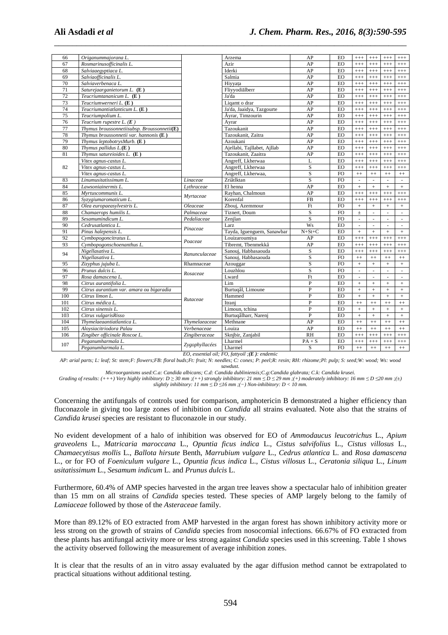| 66                                                | Origanummajorana L.                                       |                |                                                    | AP                           | EO             |                          |                          |                      |                          |  |
|---------------------------------------------------|-----------------------------------------------------------|----------------|----------------------------------------------------|------------------------------|----------------|--------------------------|--------------------------|----------------------|--------------------------|--|
| 67                                                | Rosmarinusofficinalis L.                                  |                | Arzema<br>Azir                                     | AP                           | EO             | $^{+++}$<br>$^{+++}$     | $^{+++}$<br>$^{+++}$     | $^{+++}$<br>$^{+++}$ | $^{+++}$<br>$^{+++}$     |  |
| 68                                                | Salviaaegyptiaca L.                                       |                | Iderki                                             | AP                           | EO             | $^{+++}$                 | $^{+++}$                 | $^{+++}$             | $^{+++}$                 |  |
| 69                                                | Salviaofficinalis L.                                      |                | Salmia                                             | AP                           | EO             | $^{+++}$                 | $^{+++}$                 | $^{+++}$             | $^{+++}$                 |  |
| 70                                                | Salviaverbenaca L.                                        |                | Hiyyata                                            | AP                           | EO             | $^{+++}$                 | $^{+++}$                 | $^{+++}$             | $^{+++}$                 |  |
| 71                                                | Saturejaarganietorum L. (E)                               |                | Fliyyodialberr                                     | AP                           | <b>EO</b>      | $^{+++}$                 | $^{+++}$                 | $^{+++}$             | $^{+++}$                 |  |
| 72                                                | Teucriumtananicum L. (E)                                  |                | Ja'da                                              | AP                           | EO             | $^{+++}$                 | $^{+++}$                 | $^{+++}$             | $^{+++}$                 |  |
| 73                                                | Teucriumwerneri L. (E)                                    |                | Ligamt o drar                                      | AP                           | EO             | $^{+++}$                 | $^{+++}$                 | $^{+++}$             | $^{+++}$                 |  |
| 74                                                | Teucriumantiatlanticum L. (E)                             |                | Ja'da, Jaaidya, Tazgourte                          | AP                           | EO             | $^{+++}$                 | $^{+++}$                 | $^{+++}$             | $^{+++}$                 |  |
| 75                                                | Teucriumpolium L.                                         |                | Âyrar, Timzourin                                   | AP                           | EO             | $^{+++}$                 | $^{+++}$                 | $^{+++}$             | $^{+++}$                 |  |
| 76                                                | Teucrium rupestre $L$ . ( $E$ )                           |                | Ayrar                                              | AP                           | <b>EO</b>      | $^{+++}$                 | $^{+++}$                 | $^{+++}$             | $^{+++}$                 |  |
| 77                                                | Thymus broussonnetiisubsp. Broussonnetii $(E)$            |                | Tazoukanit                                         | AP                           | EO             | $^{+++}$                 | $^{+++}$                 | $^{+++}$             | $^{+++}$                 |  |
| 78                                                | Thymus broussonnetii var. hannonis $(E)$                  |                | Tazoukanit, Zaitra                                 | AP                           | EO             |                          |                          |                      | $^{+++}$                 |  |
| 79                                                | Thymus leptobotrysMurb. $(E)$                             |                | Azoukani                                           | AP                           | EO             | $^{+++}$<br>$^{+++}$     | $^{+++}$<br>$++++$       | $^{+++}$<br>$^{+++}$ | $^{+++}$                 |  |
| 80                                                |                                                           |                |                                                    | AP                           | EO             |                          |                          |                      |                          |  |
| 81                                                | Thymus pallidus $L(E)$<br>Thymus satureioides $L$ . $(E)$ |                | Ajellabi, Tajllabet, Ajllab<br>Tazoukanit, Zaaitra | AP                           | EO             | $^{+++}$                 | $^{+++}$                 | $^{+++}$             | $^{+++}$                 |  |
|                                                   |                                                           |                | Angreff, Lkherwaa                                  | L                            | EO             | $^{+++}$                 | $^{+++}$                 | $^{+++}$             | $^{+++}$                 |  |
|                                                   | Vitex agnus-castus L.                                     |                |                                                    |                              |                | $^{+++}$                 | $^{+++}$                 | $^{+++}$             | $^{+++}$                 |  |
| 82                                                | Vitex agnus-castus L.                                     |                | Angreff, Lkherwaa                                  | S<br>$\overline{\mathbf{S}}$ | $E_{\rm O}$    | $^{+++}$                 | $^{+++}$                 | $^{+++}$             | $^{+++}$                 |  |
|                                                   | Vitex agnus-castus L.                                     |                | Angreff, Lkherwaa,                                 |                              | <b>FO</b>      | $^{++}$                  | $^{++}$                  | $+ +$                | $^{++}$                  |  |
| 83                                                | Linumusitatissimum L.                                     | Linaceae       | Zriâtlktan                                         | $\mathbf S$                  | FO             | $\overline{\phantom{a}}$ | $\overline{\phantom{a}}$ | $\sim$               | $\overline{\phantom{a}}$ |  |
| 84                                                | Lawsoniainermis L.                                        | Lythraceae     | El henna                                           | AP                           | EO             | $\pm$                    | $+$                      | $^{+}$               | $\pm$                    |  |
| 85                                                | Myrtuscommunis L.                                         | Myrtaceae      | Rayhan, Chalmoun                                   | AP                           | EO             | $^{+++}$                 | $++++$                   | $^{+++}$             | $^{+++}$                 |  |
| 86                                                | Syzygiumaromaticum L.                                     |                | Korenfal                                           | FB                           | EO             | $^{+++}$                 | $^{+++}$                 | $^{+++}$             | $^{+++}$                 |  |
| 87                                                | Olea europaeasylvestris L.                                | Oleaceae       | Zbouj, Azemmour                                    | F <sub>t</sub>               | <b>FO</b>      | $\! +$                   | $+$                      | $^+$                 | $\! +$                   |  |
| 88                                                | Chamaerops humilis L.                                     | Palmaceae      | <b>Tiznert</b> . Doum                              | S                            | FO             | $\pm$                    | $\overline{\phantom{a}}$ | $\bar{z}$            | $\Box$                   |  |
| 89                                                | Sesamumindicum L.                                         | Pedaliaceae    | Zenjlan                                            | S                            | <b>FO</b>      | $\bar{\phantom{a}}$      | ä,                       | ÷.                   | $\mathcal{L}$            |  |
| 90                                                | Cedrusatlantica L.                                        | Pinaceae       | Larz                                               | <b>Ws</b>                    | EO             | $\mathcal{L}$            | $\omega$                 | $\omega$             | $\mathbf{r}$             |  |
| 91                                                | Pinus halepensis L.                                       |                | Tayda, Iguenguem, Sanawbar                         | $N+St+C$                     | EO             | $\pm$                    | $+$                      | $+$                  | $+$                      |  |
| 92                                                | Cymbopogoncitratus L.                                     | Poaceae        | Louizaroumiya                                      | AP                           | EO             | $^{+++}$                 | $^{+++}$                 | $^{+++}$             | $^{+++}$                 |  |
| 93                                                | Cymbopogonschoenanthus L.                                 |                | Tibremt, Tbenmekkâ                                 | AP                           | EO             | $^{+++}$                 | $++++$                   | $^{+++}$             | $^{+++}$                 |  |
| 94                                                | Nigellasativa L.                                          | Ranunculaceae  | Sanouj, Habbasaouda                                | S                            | EO             | $^{+++}$                 | $^{+++}$                 | $^{+++}$             | $^{+++}$                 |  |
|                                                   | Nigellasativa L.                                          |                | Sanouj, Habbasaouda                                | S                            | FO             | $+ +$                    | $^{++}$                  | $^{++}$              | $^{++}$                  |  |
| 95                                                | Zizyphus jujuba L.                                        | Rhamnaceae     | Azouggar                                           | S                            | FO             | $+$                      | $+$                      | $+$                  | $+$                      |  |
| 96                                                | Prunus dulcis L.                                          | Rosaceae       | Louzhlou                                           | $\mathbf S$                  | <b>FO</b>      | L.                       | $\mathcal{L}$            | L.                   | $\mathbb{Z}^2$           |  |
| 97                                                | Rosa damascena L.                                         |                | Lward                                              | Ft                           | EO             | $\sim$                   | $\sim$                   | ÷                    | $\sim$                   |  |
| 98                                                | Citrus aurantifolia L.                                    |                | Lim                                                | $\overline{P}$               | EO             | $\ddot{}$                | $+$                      | $^{+}$               | $\ddot{}$                |  |
| 99                                                | Citrus aurantium var. amara ou bigaradia                  | Rutaceae       | Burtugâl, Limoune                                  | $\overline{P}$               | EO             | $\! +$                   | $+$                      | $+$                  | $^{+}$                   |  |
| 100                                               | Citrus limon L.                                           |                | Hammed                                             | $\mathbf{P}$                 | EO             | $\pm$                    | $+$                      | $+$                  | $\pm$                    |  |
| 101                                               | Citrus médica L.                                          |                | Itranj                                             | P                            | EO             | $^{++}$                  | $^{++}$                  | $^{++}$              | $^{++}$                  |  |
| 102                                               | Citrus sinensis L.                                        |                | Limoun, tchina                                     | $\mathbf{P}$                 | $E_{\rm O}$    | $\! +$                   | $+$                      | $+$                  | $\! +$                   |  |
| 103                                               | Citrus vulgarisRisso                                      |                | Burtuqâlharr, Narenj                               | $\overline{P}$               | EO             | $\ddot{}$                | $+$                      | $\ddot{}$            | $\ddot{}$                |  |
| 104                                               | Thymelaeaantiatlantica L.                                 | Thymelaeaceae  | Methnane                                           | AP                           | EO             | $^{++}$                  | $^{++}$                  | $^{++}$              | $^{++}$                  |  |
| 105                                               | Aloysiacitriodora Palau                                   | Verbenaceae    | Louiza                                             | AP                           | EO             | $^{++}$                  | $^{++}$                  | $^{++}$              | $^{++}$                  |  |
| 106                                               | Zingiber officinale Roscoe L.                             | Zingiberaceae  | Sknjbir, Zanjabil                                  | <b>RH</b>                    | EO             | $^{+++}$                 | $^{+++}$                 | $^{+++}$             | $^{+++}$                 |  |
| 107                                               | Peganumharmala L.                                         | Zygophyllacées | Lharmel                                            | $PA + S$                     | EO             | $^{+++}$                 | $^{+++}$                 | $^{+++}$             | $^{+++}$                 |  |
|                                                   | Peganumharmala L.                                         |                | Lharmel                                            | S                            | F <sub>O</sub> | $++$                     | $^{++}$                  | $^{++}$              | $++$                     |  |
| EO, essential oil; FO, fattyoil ;( $E$ ): endemic |                                                           |                |                                                    |                              |                |                          |                          |                      |                          |  |

\_\_\_\_\_\_\_\_\_\_\_\_\_\_\_\_\_\_\_\_\_\_\_\_\_\_\_\_\_\_\_\_\_\_\_\_\_\_\_\_\_\_\_\_\_\_\_\_\_\_\_\_\_\_\_\_\_\_\_\_\_\_\_\_\_\_\_\_\_\_\_\_\_\_\_\_\_\_

*AP: arial parts; L: leaf; St: stem;F: flowers;FB: floral buds;Ft: fruit; N: needles; C: cones; P: peel;R: resin; RH: rhizome;Pl: pulp; S: seed;W: wood; Ws: wood sawdust.* 

*Microorganisms used:C.a: Candida albicans; C.d: Candida dubliniensis;C.g:Candida glabrata; C.k: Candida krusei.* 

Grading of results:  $(++)$  Very highly inhibitory:  $D \ge 30$  mm ; $(++)$  strongly inhibitory:  $21$  mm  $\le D \le 29$  mm ; $(+)$  moderately inhibitory:  $16$  mm  $\le D \le 20$  mm ; $(±)$ *slightly inhibitory: 11 mm*  $\leq D \leq 16$  mm ;(−) Non-inhibitory:  $D < 10$  mm.

Concerning the antifungals of controls used for comparison, amphotericin B demonstrated a higher efficiency than fluconazole in giving too large zones of inhibition on *Candida* all strains evaluated. Note also that the strains of *Candida krusei* species are resistant to fluconazole in our study.

No evident development of a halo of inhibition was observed for EO of *Ammodaucus leucotrichus* L., *Apium graveolens* L., *Matricaria maroccana* L., *Opuntia ficus indica* L., *Cistus salvifolius* L., *Cistus villosus* L., *Chamaecytisus mollis* L., *Ballota hirsute* Benth, *Marrubium vulgare* L., *Cedrus atlantica* L. and *Rosa damascena* L., or for FO of *Foeniculum vulgare* L., *Opuntia ficus indica* L., *Cistus villosus* L., *Ceratonia siliqua* L., *Linum usitatissimum* L., *Sesamum indicum* L. and *Prunus dulcis* L.

Furthermore, 60.4% of AMP species harvested in the argan tree leaves show a spectacular halo of inhibition greater than 15 mm on all strains of *Candida* species tested. These species of AMP largely belong to the family of *Lamiaceae* followed by those of the *Asteraceae* family.

More than 89.12% of EO extracted from AMP harvested in the argan forest has shown inhibitory activity more or less strong on the growth of strains of *Candida* species from nosocomial infections. 66.67% of FO extracted from these plants has antifungal activity more or less strong against *Candida* species used in this screening. Table 1 shows the activity observed following the measurement of average inhibition zones.

It is clear that the results of an in vitro assay evaluated by the agar diffusion method cannot be extrapolated to practical situations without additional testing.